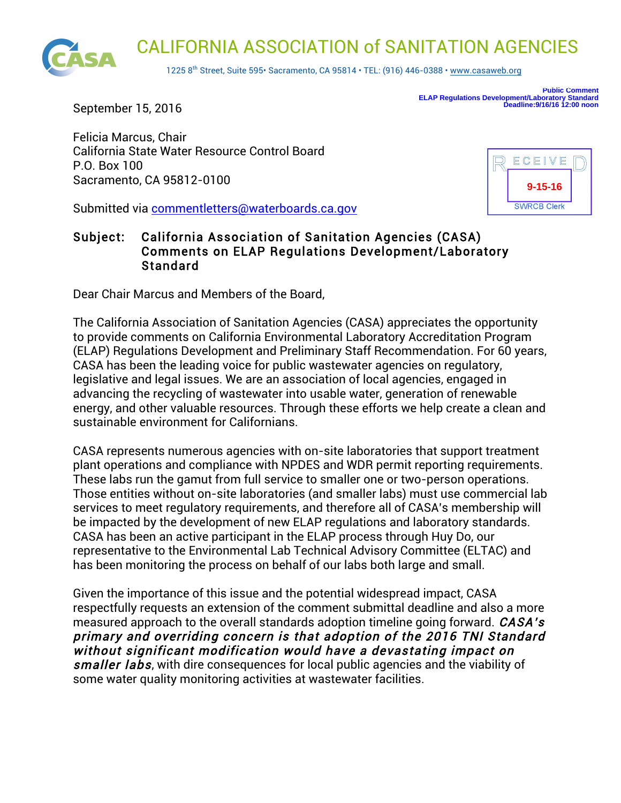

September 15, 2016

**Public Comment ELAP Regulations Development/Laboratory Standard Deadline:9/16/16 12:00 noon**

Felicia Marcus, Chair California State Water Resource Control Board P.O. Box 100 Sacramento, CA 95812-0100

Submitted via commentletters@waterboards.ca.gov

## ECEIVE **9-15-16SWRCB Clerk**

## Subject: California Association of Sanitation Agencies (CASA) Comments on ELAP Regulations Development/Laboratory Standard

Dear Chair Marcus and Members of the Board,

The California Association of Sanitation Agencies (CASA) appreciates the opportunity to provide comments on California Environmental Laboratory Accreditation Program (ELAP) Regulations Development and Preliminary Staff Recommendation. For 60 years, CASA has been the leading voice for public wastewater agencies on regulatory, legislative and legal issues. We are an association of local agencies, engaged in advancing the recycling of wastewater into usable water, generation of renewable energy, and other valuable resources. Through these efforts we help create a clean and sustainable environment for Californians.

CASA represents numerous agencies with on-site laboratories that support treatment plant operations and compliance with NPDES and WDR permit reporting requirements. These labs run the gamut from full service to smaller one or two-person operations. Those entities without on-site laboratories (and smaller labs) must use commercial lab services to meet regulatory requirements, and therefore all of CASA's membership will be impacted by the development of new ELAP regulations and laboratory standards. CASA has been an active participant in the ELAP process through Huy Do, our representative to the Environmental Lab Technical Advisory Committee (ELTAC) and has been monitoring the process on behalf of our labs both large and small.

Given the importance of this issue and the potential widespread impact, CASA respectfully requests an extension of the comment submittal deadline and also a more measured approach to the overall standards adoption timeline going forward. *CASA's* primary and overriding concern is that adoption of the 2016 TNI Standard without significant modification would have a devastating impact on smaller labs, with dire consequences for local public agencies and the viability of some water quality monitoring activities at wastewater facilities.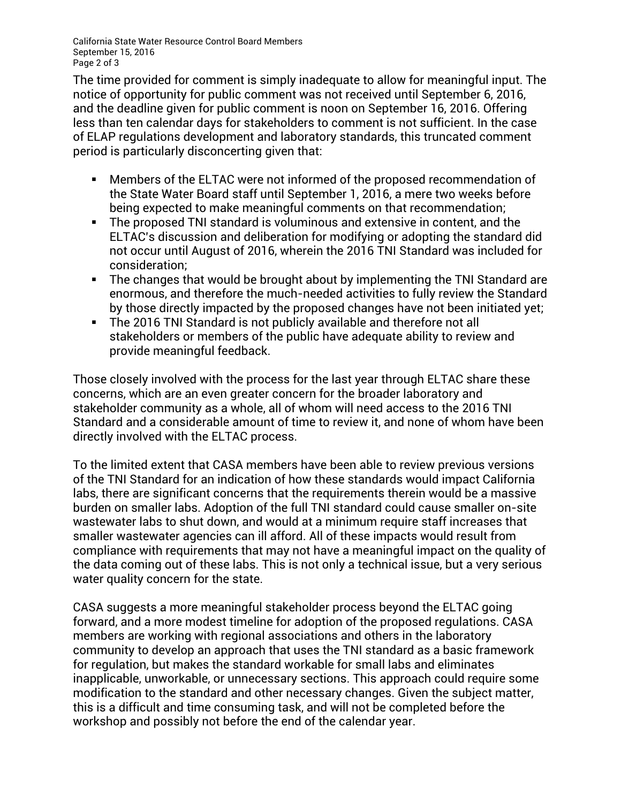California State Water Resource Control Board Members September 15, 2016 Page 2 of 3

The time provided for comment is simply inadequate to allow for meaningful input. The notice of opportunity for public comment was not received until September 6, 2016, and the deadline given for public comment is noon on September 16, 2016. Offering less than ten calendar days for stakeholders to comment is not sufficient. In the case of ELAP regulations development and laboratory standards, this truncated comment period is particularly disconcerting given that:

- Members of the ELTAC were not informed of the proposed recommendation of the State Water Board staff until September 1, 2016, a mere two weeks before being expected to make meaningful comments on that recommendation;
- The proposed TNI standard is voluminous and extensive in content, and the ELTAC's discussion and deliberation for modifying or adopting the standard did not occur until August of 2016, wherein the 2016 TNI Standard was included for consideration;
- The changes that would be brought about by implementing the TNI Standard are enormous, and therefore the much-needed activities to fully review the Standard by those directly impacted by the proposed changes have not been initiated yet;
- The 2016 TNI Standard is not publicly available and therefore not all stakeholders or members of the public have adequate ability to review and provide meaningful feedback.

Those closely involved with the process for the last year through ELTAC share these concerns, which are an even greater concern for the broader laboratory and stakeholder community as a whole, all of whom will need access to the 2016 TNI Standard and a considerable amount of time to review it, and none of whom have been directly involved with the ELTAC process.

To the limited extent that CASA members have been able to review previous versions of the TNI Standard for an indication of how these standards would impact California labs, there are significant concerns that the requirements therein would be a massive burden on smaller labs. Adoption of the full TNI standard could cause smaller on-site wastewater labs to shut down, and would at a minimum require staff increases that smaller wastewater agencies can ill afford. All of these impacts would result from compliance with requirements that may not have a meaningful impact on the quality of the data coming out of these labs. This is not only a technical issue, but a very serious water quality concern for the state.

CASA suggests a more meaningful stakeholder process beyond the ELTAC going forward, and a more modest timeline for adoption of the proposed regulations. CASA members are working with regional associations and others in the laboratory community to develop an approach that uses the TNI standard as a basic framework for regulation, but makes the standard workable for small labs and eliminates inapplicable, unworkable, or unnecessary sections. This approach could require some modification to the standard and other necessary changes. Given the subject matter, this is a difficult and time consuming task, and will not be completed before the workshop and possibly not before the end of the calendar year.